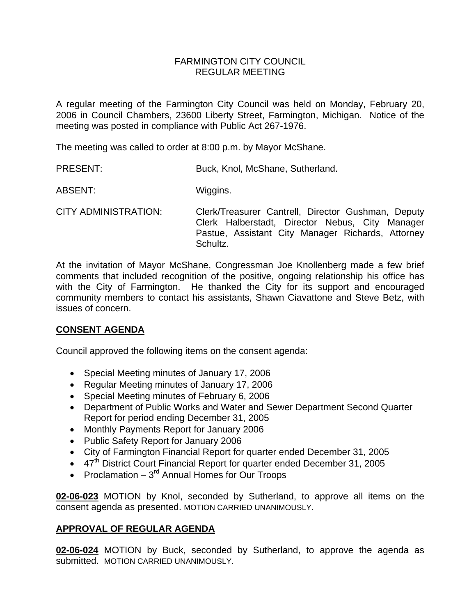## FARMINGTON CITY COUNCIL REGULAR MEETING

A regular meeting of the Farmington City Council was held on Monday, February 20, 2006 in Council Chambers, 23600 Liberty Street, Farmington, Michigan. Notice of the meeting was posted in compliance with Public Act 267-1976.

The meeting was called to order at 8:00 p.m. by Mayor McShane.

| <b>PRESENT:</b> | Buck, Knol, McShane, Sutherland. |
|-----------------|----------------------------------|
|-----------------|----------------------------------|

ABSENT: Wiggins.

CITY ADMINISTRATION: Clerk/Treasurer Cantrell, Director Gushman, Deputy Clerk Halberstadt, Director Nebus, City Manager Pastue, Assistant City Manager Richards, Attorney Schultz.

At the invitation of Mayor McShane, Congressman Joe Knollenberg made a few brief comments that included recognition of the positive, ongoing relationship his office has with the City of Farmington. He thanked the City for its support and encouraged community members to contact his assistants, Shawn Ciavattone and Steve Betz, with issues of concern.

## **CONSENT AGENDA**

Council approved the following items on the consent agenda:

- Special Meeting minutes of January 17, 2006
- Regular Meeting minutes of January 17, 2006
- Special Meeting minutes of February 6, 2006
- Department of Public Works and Water and Sewer Department Second Quarter Report for period ending December 31, 2005
- Monthly Payments Report for January 2006
- Public Safety Report for January 2006
- City of Farmington Financial Report for quarter ended December 31, 2005
- 47<sup>th</sup> District Court Financial Report for quarter ended December 31, 2005
- Proclamation  $-3<sup>rd</sup>$  Annual Homes for Our Troops

**02-06-023** MOTION by Knol, seconded by Sutherland, to approve all items on the consent agenda as presented. MOTION CARRIED UNANIMOUSLY.

## **APPROVAL OF REGULAR AGENDA**

**02-06-024** MOTION by Buck, seconded by Sutherland, to approve the agenda as submitted. MOTION CARRIED UNANIMOUSLY.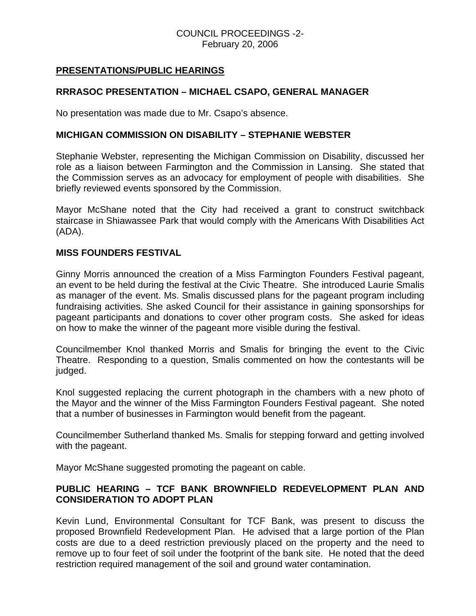## COUNCIL PROCEEDINGS -2- February 20, 2006

## **PRESENTATIONS/PUBLIC HEARINGS**

# **RRRASOC PRESENTATION – MICHAEL CSAPO, GENERAL MANAGER**

No presentation was made due to Mr. Csapo's absence.

## **MICHIGAN COMMISSION ON DISABILITY – STEPHANIE WEBSTER**

Stephanie Webster, representing the Michigan Commission on Disability, discussed her role as a liaison between Farmington and the Commission in Lansing. She stated that the Commission serves as an advocacy for employment of people with disabilities. She briefly reviewed events sponsored by the Commission.

Mayor McShane noted that the City had received a grant to construct switchback staircase in Shiawassee Park that would comply with the Americans With Disabilities Act (ADA).

### **MISS FOUNDERS FESTIVAL**

Ginny Morris announced the creation of a Miss Farmington Founders Festival pageant, an event to be held during the festival at the Civic Theatre. She introduced Laurie Smalis as manager of the event. Ms. Smalis discussed plans for the pageant program including fundraising activities. She asked Council for their assistance in gaining sponsorships for pageant participants and donations to cover other program costs. She asked for ideas on how to make the winner of the pageant more visible during the festival.

Councilmember Knol thanked Morris and Smalis for bringing the event to the Civic Theatre. Responding to a question, Smalis commented on how the contestants will be judged.

Knol suggested replacing the current photograph in the chambers with a new photo of the Mayor and the winner of the Miss Farmington Founders Festival pageant. She noted that a number of businesses in Farmington would benefit from the pageant.

Councilmember Sutherland thanked Ms. Smalis for stepping forward and getting involved with the pageant.

Mayor McShane suggested promoting the pageant on cable.

## **PUBLIC HEARING – TCF BANK BROWNFIELD REDEVELOPMENT PLAN AND CONSIDERATION TO ADOPT PLAN**

Kevin Lund, Environmental Consultant for TCF Bank, was present to discuss the proposed Brownfield Redevelopment Plan. He advised that a large portion of the Plan costs are due to a deed restriction previously placed on the property and the need to remove up to four feet of soil under the footprint of the bank site. He noted that the deed restriction required management of the soil and ground water contamination.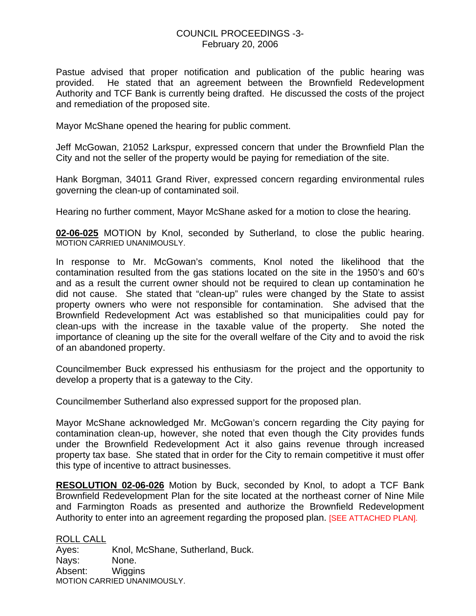### COUNCIL PROCEEDINGS -3- February 20, 2006

Pastue advised that proper notification and publication of the public hearing was provided. He stated that an agreement between the Brownfield Redevelopment Authority and TCF Bank is currently being drafted. He discussed the costs of the project and remediation of the proposed site.

Mayor McShane opened the hearing for public comment.

Jeff McGowan, 21052 Larkspur, expressed concern that under the Brownfield Plan the City and not the seller of the property would be paying for remediation of the site.

Hank Borgman, 34011 Grand River, expressed concern regarding environmental rules governing the clean-up of contaminated soil.

Hearing no further comment, Mayor McShane asked for a motion to close the hearing.

**02-06-025** MOTION by Knol, seconded by Sutherland, to close the public hearing. MOTION CARRIED UNANIMOUSLY.

In response to Mr. McGowan's comments, Knol noted the likelihood that the contamination resulted from the gas stations located on the site in the 1950's and 60's and as a result the current owner should not be required to clean up contamination he did not cause. She stated that "clean-up" rules were changed by the State to assist property owners who were not responsible for contamination. She advised that the Brownfield Redevelopment Act was established so that municipalities could pay for clean-ups with the increase in the taxable value of the property. She noted the importance of cleaning up the site for the overall welfare of the City and to avoid the risk of an abandoned property.

Councilmember Buck expressed his enthusiasm for the project and the opportunity to develop a property that is a gateway to the City.

Councilmember Sutherland also expressed support for the proposed plan.

Mayor McShane acknowledged Mr. McGowan's concern regarding the City paying for contamination clean-up, however, she noted that even though the City provides funds under the Brownfield Redevelopment Act it also gains revenue through increased property tax base. She stated that in order for the City to remain competitive it must offer this type of incentive to attract businesses.

**RESOLUTION 02-06-026** Motion by Buck, seconded by Knol, to adopt a TCF Bank Brownfield Redevelopment Plan for the site located at the northeast corner of Nine Mile and Farmington Roads as presented and authorize the Brownfield Redevelopment Authority to enter into an agreement regarding the proposed plan. [SEE ATTACHED PLAN].

ROLL CALL Ayes: Knol, McShane, Sutherland, Buck. Nays: None. Absent: Wiggins MOTION CARRIED UNANIMOUSLY.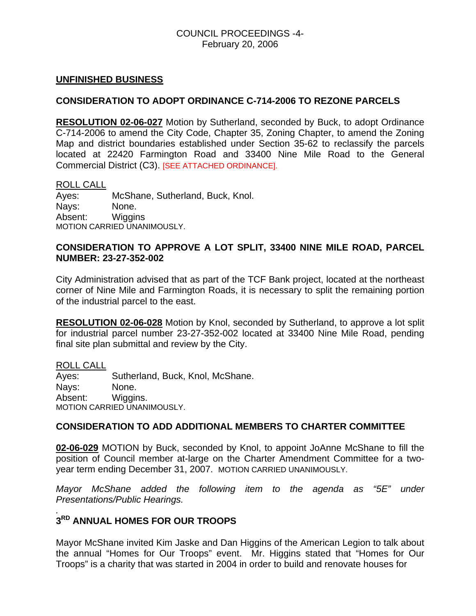## COUNCIL PROCEEDINGS -4- February 20, 2006

#### **UNFINISHED BUSINESS**

## **CONSIDERATION TO ADOPT ORDINANCE C-714-2006 TO REZONE PARCELS**

**RESOLUTION 02-06-027** Motion by Sutherland, seconded by Buck, to adopt Ordinance C-714-2006 to amend the City Code, Chapter 35, Zoning Chapter, to amend the Zoning Map and district boundaries established under Section 35-62 to reclassify the parcels located at 22420 Farmington Road and 33400 Nine Mile Road to the General Commercial District (C3). [SEE ATTACHED ORDINANCE].

#### ROLL CALL

Ayes: McShane, Sutherland, Buck, Knol. Nays: None. Absent: Wiggins MOTION CARRIED UNANIMOUSLY.

## **CONSIDERATION TO APPROVE A LOT SPLIT, 33400 NINE MILE ROAD, PARCEL NUMBER: 23-27-352-002**

City Administration advised that as part of the TCF Bank project, located at the northeast corner of Nine Mile and Farmington Roads, it is necessary to split the remaining portion of the industrial parcel to the east.

**RESOLUTION 02-06-028** Motion by Knol, seconded by Sutherland, to approve a lot split for industrial parcel number 23-27-352-002 located at 33400 Nine Mile Road, pending final site plan submittal and review by the City.

ROLL CALL

Ayes: Sutherland, Buck, Knol, McShane. Nays: None. Absent: Wiggins. MOTION CARRIED UNANIMOUSLY.

#### **CONSIDERATION TO ADD ADDITIONAL MEMBERS TO CHARTER COMMITTEE**

**02-06-029** MOTION by Buck, seconded by Knol, to appoint JoAnne McShane to fill the position of Council member at-large on the Charter Amendment Committee for a twoyear term ending December 31, 2007. MOTION CARRIED UNANIMOUSLY.

*Mayor McShane added the following item to the agenda as "5E" under Presentations/Public Hearings.* 

#### *.*  **3RD ANNUAL HOMES FOR OUR TROOPS**

Mayor McShane invited Kim Jaske and Dan Higgins of the American Legion to talk about the annual "Homes for Our Troops" event. Mr. Higgins stated that "Homes for Our Troops" is a charity that was started in 2004 in order to build and renovate houses for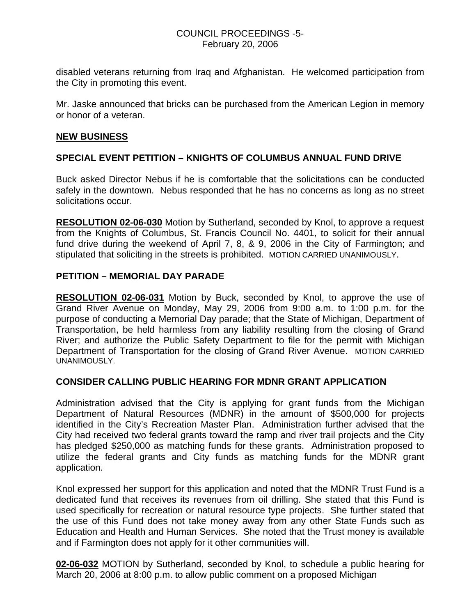## COUNCIL PROCEEDINGS -5- February 20, 2006

disabled veterans returning from Iraq and Afghanistan. He welcomed participation from the City in promoting this event.

Mr. Jaske announced that bricks can be purchased from the American Legion in memory or honor of a veteran.

## **NEW BUSINESS**

# **SPECIAL EVENT PETITION – KNIGHTS OF COLUMBUS ANNUAL FUND DRIVE**

Buck asked Director Nebus if he is comfortable that the solicitations can be conducted safely in the downtown. Nebus responded that he has no concerns as long as no street solicitations occur.

**RESOLUTION 02-06-030** Motion by Sutherland, seconded by Knol, to approve a request from the Knights of Columbus, St. Francis Council No. 4401, to solicit for their annual fund drive during the weekend of April 7, 8, & 9, 2006 in the City of Farmington; and stipulated that soliciting in the streets is prohibited. MOTION CARRIED UNANIMOUSLY.

## **PETITION – MEMORIAL DAY PARADE**

**RESOLUTION 02-06-031** Motion by Buck, seconded by Knol, to approve the use of Grand River Avenue on Monday, May 29, 2006 from 9:00 a.m. to 1:00 p.m. for the purpose of conducting a Memorial Day parade; that the State of Michigan, Department of Transportation, be held harmless from any liability resulting from the closing of Grand River; and authorize the Public Safety Department to file for the permit with Michigan Department of Transportation for the closing of Grand River Avenue. MOTION CARRIED UNANIMOUSLY.

## **CONSIDER CALLING PUBLIC HEARING FOR MDNR GRANT APPLICATION**

Administration advised that the City is applying for grant funds from the Michigan Department of Natural Resources (MDNR) in the amount of \$500,000 for projects identified in the City's Recreation Master Plan. Administration further advised that the City had received two federal grants toward the ramp and river trail projects and the City has pledged \$250,000 as matching funds for these grants. Administration proposed to utilize the federal grants and City funds as matching funds for the MDNR grant application.

Knol expressed her support for this application and noted that the MDNR Trust Fund is a dedicated fund that receives its revenues from oil drilling. She stated that this Fund is used specifically for recreation or natural resource type projects. She further stated that the use of this Fund does not take money away from any other State Funds such as Education and Health and Human Services. She noted that the Trust money is available and if Farmington does not apply for it other communities will.

**02-06-032** MOTION by Sutherland, seconded by Knol, to schedule a public hearing for March 20, 2006 at 8:00 p.m. to allow public comment on a proposed Michigan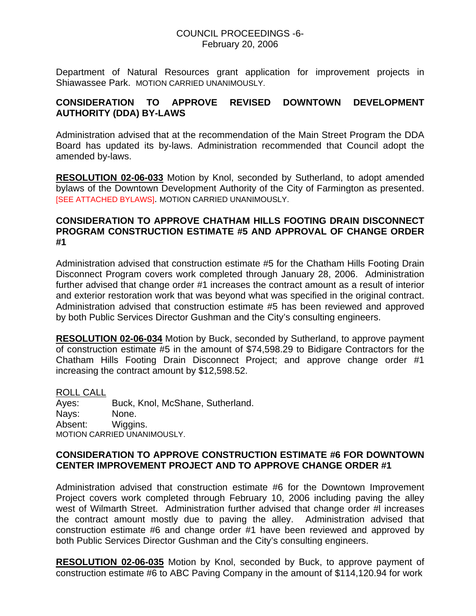## COUNCIL PROCEEDINGS -6- February 20, 2006

Department of Natural Resources grant application for improvement projects in Shiawassee Park. MOTION CARRIED UNANIMOUSLY.

# **CONSIDERATION TO APPROVE REVISED DOWNTOWN DEVELOPMENT AUTHORITY (DDA) BY-LAWS**

Administration advised that at the recommendation of the Main Street Program the DDA Board has updated its by-laws. Administration recommended that Council adopt the amended by-laws.

**RESOLUTION 02-06-033** Motion by Knol, seconded by Sutherland, to adopt amended bylaws of the Downtown Development Authority of the City of Farmington as presented. **ISEE ATTACHED BYLAWSI. MOTION CARRIED UNANIMOUSLY.** 

## **CONSIDERATION TO APPROVE CHATHAM HILLS FOOTING DRAIN DISCONNECT PROGRAM CONSTRUCTION ESTIMATE #5 AND APPROVAL OF CHANGE ORDER #1**

Administration advised that construction estimate #5 for the Chatham Hills Footing Drain Disconnect Program covers work completed through January 28, 2006. Administration further advised that change order #1 increases the contract amount as a result of interior and exterior restoration work that was beyond what was specified in the original contract. Administration advised that construction estimate #5 has been reviewed and approved by both Public Services Director Gushman and the City's consulting engineers.

**RESOLUTION 02-06-034** Motion by Buck, seconded by Sutherland, to approve payment of construction estimate #5 in the amount of \$74,598.29 to Bidigare Contractors for the Chatham Hills Footing Drain Disconnect Project; and approve change order #1 increasing the contract amount by \$12,598.52.

ROLL CALL Ayes: Buck, Knol, McShane, Sutherland. Nays: None. Absent: Wiggins. MOTION CARRIED UNANIMOUSLY.

## **CONSIDERATION TO APPROVE CONSTRUCTION ESTIMATE #6 FOR DOWNTOWN CENTER IMPROVEMENT PROJECT AND TO APPROVE CHANGE ORDER #1**

Administration advised that construction estimate #6 for the Downtown Improvement Project covers work completed through February 10, 2006 including paving the alley west of Wilmarth Street. Administration further advised that change order #l increases the contract amount mostly due to paving the alley. Administration advised that construction estimate #6 and change order #1 have been reviewed and approved by both Public Services Director Gushman and the City's consulting engineers.

**RESOLUTION 02-06-035** Motion by Knol, seconded by Buck, to approve payment of construction estimate #6 to ABC Paving Company in the amount of \$114,120.94 for work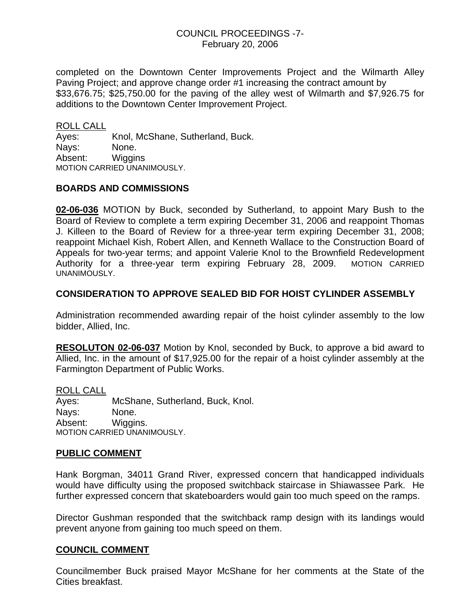### COUNCIL PROCEEDINGS -7- February 20, 2006

completed on the Downtown Center Improvements Project and the Wilmarth Alley Paving Project; and approve change order #1 increasing the contract amount by \$33,676.75; \$25,750.00 for the paving of the alley west of Wilmarth and \$7,926.75 for additions to the Downtown Center Improvement Project.

ROLL CALL

Ayes: Knol, McShane, Sutherland, Buck. Nays: None. Absent: Wiggins MOTION CARRIED UNANIMOUSLY.

### **BOARDS AND COMMISSIONS**

**02-06-036** MOTION by Buck, seconded by Sutherland, to appoint Mary Bush to the Board of Review to complete a term expiring December 31, 2006 and reappoint Thomas J. Killeen to the Board of Review for a three-year term expiring December 31, 2008; reappoint Michael Kish, Robert Allen, and Kenneth Wallace to the Construction Board of Appeals for two-year terms; and appoint Valerie Knol to the Brownfield Redevelopment Authority for a three-year term expiring February 28, 2009. MOTION CARRIED UNANIMOUSLY.

### **CONSIDERATION TO APPROVE SEALED BID FOR HOIST CYLINDER ASSEMBLY**

Administration recommended awarding repair of the hoist cylinder assembly to the low bidder, Allied, Inc.

**RESOLUTON 02-06-037** Motion by Knol, seconded by Buck, to approve a bid award to Allied, Inc. in the amount of \$17,925.00 for the repair of a hoist cylinder assembly at the Farmington Department of Public Works.

ROLL CALL Ayes: McShane, Sutherland, Buck, Knol. Nays: None. Absent: Wiggins. MOTION CARRIED UNANIMOUSLY.

## **PUBLIC COMMENT**

Hank Borgman, 34011 Grand River, expressed concern that handicapped individuals would have difficulty using the proposed switchback staircase in Shiawassee Park. He further expressed concern that skateboarders would gain too much speed on the ramps.

Director Gushman responded that the switchback ramp design with its landings would prevent anyone from gaining too much speed on them.

#### **COUNCIL COMMENT**

Councilmember Buck praised Mayor McShane for her comments at the State of the Cities breakfast.